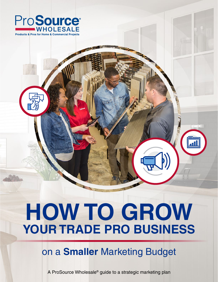

# **HOW TO GROW YOUR TRADE PRO BUSINESS**

# on a **Smaller** Marketing Budget

A ProSource Wholesale® guide to a strategic marketing plan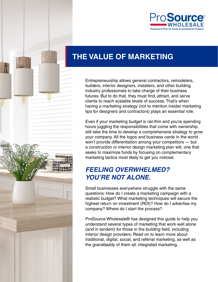

# **THE VALUE OF MARKETING**

Entrepreneurship allows general contractors, remodelers, builders, interior designers, installers, and other building industry professionals to take charge of their business futures. But to do that, they must find, attract, and serve clients to reach scalable levels of success. That's when having a marketing strategy (not to mention insider marketing tips for designers and contractors) plays an essential role.

Even if your marketing budget is rail-thin and you're spending hours juggling the responsibilities that come with ownership, still take the time to develop a comprehensive strategy to grow your company. All the logos and business cards in the world won't provide differentiation among your competitors — but a construction or interior design marketing plan will, one that seeks to maximize funds by focusing on complementary marketing tactics most likely to get you noticed.

# *FEELING OVERWHELMED? YOU'RE NOT ALONE.*

Small businesses everywhere struggle with the same questions: How do I create a marketing campaign with a realistic budget? What marketing techniques will secure the highest return on investment (ROI)? How do I advertise my company? Where do I start the process?

ProSource Wholesale® has designed this guide to help you understand several types of marketing that work well alone (and in tandem) for those in the building field, including interior design providers. Read on to learn more about traditional, digital, social, and referral marketing, as well as the granddaddy of them all: integrated marketing.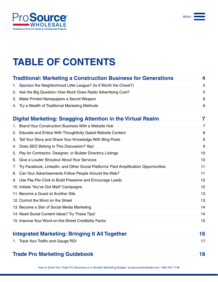

MENU

# **TABLE OF CONTENTS**

|    | <b>Traditional: Marketing a Construction Business for Generations</b>                | 4              |
|----|--------------------------------------------------------------------------------------|----------------|
| 1. | Sponsor the Neighborhood Little League? (Is It Worth the Check?)                     | 5              |
| 2. | Ask the Big Question: How Much Does Radio Advertising Cost?                          | 5              |
| 3. | Make Printed Newspapers a Secret Weapon                                              | 6              |
|    | 4. Try a Wealth of Traditional Marketing Methods                                     | 6              |
|    | Digital Marketing: Snagging Attention in the Virtual Realm                           | 7              |
|    | Brand Your Construction Business With a Website Hub                                  | $\overline{7}$ |
| 2. | Educate and Entice With Thoughtfully Gated Website Content                           | 8              |
| 3. | Tell Your Story and Share Your Knowledge With Blog Posts                             | 9              |
| 4. | Does SEO Belong in This Discussion? Yep!                                             | 9              |
| 5. | Pay for Contractor, Designer, or Builder Directory Listings                          | 10             |
| 6. | Give a Louder Shoutout About Your Services                                           | 10             |
| 7. | Try Facebook, LinkedIn, and Other Social Platforms' Paid Amplification Opportunities | 11             |
| 8. | Can Your Advertisements Follow People Around the Web?                                | 11             |
|    | 9. Use Pay-Per-Click to Build Presence and Encourage Leads                           | 12             |
|    | 10. Initiate 'You've Got Mail!' Campaigns                                            | 12             |
|    | 11. Become a Guest at Another Site                                                   | 13             |
|    | 12. Control the Word on the Street                                                   | 13             |
|    | 13. Become a Star of Social Media Marketing                                          | 14             |
|    | 14. Need Social Content Ideas? Try These Tips!                                       | 14             |
|    | 15. Improve Your Word-on-the-Street Credibility Factor                               | 15             |
|    | <b>Integrated Marketing: Bringing It All Together</b>                                | 16             |
|    | 1. Track Your Traffic and Gauge ROI                                                  | 17             |

### **[Trade Pro Marketing Guidebook](#page-17-0)**

**[18](#page-17-0)**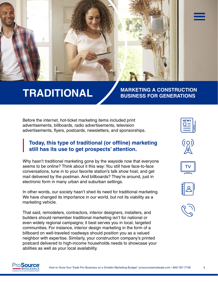#### <span id="page-3-0"></span>**TRADITIONAL MARKETING A CONSTRUCTION BUSINESS FOR GENERATIONS**

Before the internet, hot-ticket marketing items included print advertisements, billboards, radio advertisements, television advertisements, flyers, postcards, newsletters, and sponsorships.

#### **Today, this type of traditional (or offline) marketing still has its use to get prospects' attention.**

Why hasn't traditional marketing gone by the wayside now that everyone seems to be online? Think about it this way: You still have face-to-face conversations, tune in to your favorite station's talk show host, and get mail delivered by the postman. And billboards? They're around, just in electronic form in many urban and suburban settings.

In other words, our society hasn't shed its need for traditional marketing. We have changed its importance in our world, but not its viability as a marketing vehicle.

That said, remodelers, contractors, interior designers, installers, and builders should remember traditional marketing isn't for national or even widely regional campaigns; it best serves you in local, targeted communities. For instance, interior design marketing in the form of a billboard on well-traveled roadways should position you as a valued neighbor with expertise. Similarly, your construction company's printed postcard delivered to high-income households needs to showcase your abilities as well as your local availability.











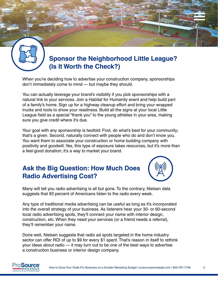<span id="page-4-0"></span>

# **Sponsor the Neighborhood Little League? (Is It Worth the Check?)**

When you're deciding how to advertise your construction company, sponsorships don't immediately come to mind — but maybe they should.

You can actually leverage your brand's visibility if you pick sponsorships with a natural link to your services. Join a Habitat for Humanity event and help build part of a family's home. Sign up for a highway cleanup effort and bring your wrapped trucks and tools to show your readiness. Build all the signs at your local Little League field as a special "thank you" to the young athletes in your area, making sure you give credit where it's due.

Your goal with any sponsorship is twofold: First, do what's best for your community; that's a given. Second, naturally connect with people who do and don't know you. You want them to associate your construction or home building company with positivity and goodwill. Yes, this type of exposure takes resources, but it's more than a feel-good donation; it's a way to market your brand.

# **Ask the Big Question: How Much Does Radio Advertising Cost?**



Many will tell you radio advertising is all but gone. To the contrary, Nielsen data suggests that 93 percent of Americans listen to the radio every week.

Any type of traditional media advertising can be useful as long as it's incorporated into the overall strategy of your business. As listeners hear your 30- or 60-second local radio advertising spots, they'll connect your name with interior design, construction, etc. When they need your services (or a friend needs a referral), they'll remember your name.

Done well, Nielsen suggests that radio ad spots targeted in the home industry sector can offer ROI of up to \$9 for every \$1 spent. That's reason in itself to rethink your ideas about radio — it may turn out to be one of the best ways to advertise a construction business or interior design company.

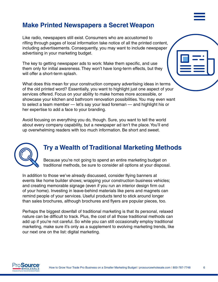### <span id="page-5-0"></span>**Make Printed Newspapers a Secret Weapon**

Like radio, newspapers still exist. Consumers who are accustomed to rifling through pages of local information take notice of all the printed content, including advertisements. Consequently, you may want to include newspaper advertising in your marketing budget.

The key to getting newspaper ads to work: Make them specific, and use them only for initial awareness. They won't have long-term effects, but they will offer a short-term splash.

What does this mean for your construction company advertising ideas in terms of the old printed word? Essentially, you want to highlight just one aspect of your services offered. Focus on your ability to make homes more accessible, or showcase your kitchen and bathroom renovation possibilities. You may even want to select a team member — let's say your lead foreman — and highlight his or her expertise to add a face to your branding.

Avoid focusing on everything you do, though. Sure, you want to tell the world about every company capability, but a newspaper ad isn't the place. You'll end up overwhelming readers with too much information. Be short and sweet.



#### **Try a Wealth of Traditional Marketing Methods**

Because you're not going to spend an entire marketing budget on traditional methods, be sure to consider all options at your disposal.

In addition to those we've already discussed, consider flying banners at events like home builder shows; wrapping your construction business vehicles; and creating memorable signage (even if you run an interior design firm out of your home). Investing in leave-behind materials like pens and magnets can remind people of your services. Useful products tend to stick around longer than sales brochures, although brochures and flyers are popular pieces, too.

Perhaps the biggest downfall of traditional marketing is that its personal, relaxed nature can be difficult to track. Plus, the cost of all those traditional methods can add up if you're not careful. So while you can still occasionally employ traditional marketing, make sure it's only as a supplement to evolving marketing trends, like our next one on the list: digital marketing.

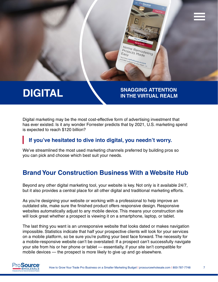#### <span id="page-6-0"></span>**DIGITAL SNAGGING ATTENTION IN THE VIRTUAL REALM**

Home Remodeling<br>Projects Madeling **Projects Made**<br>Easy<br><sup>Easy</sup>

Easy

Digital marketing may be the most cost-effective form of advertising investment that has ever existed. Is it any wonder Forrester predicts that by 2021, U.S. marketing spend is expected to reach \$120 billion?

#### **If you've hesitated to dive into digital, you needn't worry.**

We've streamlined the most used marketing channels preferred by building pros so you can pick and choose which best suit your needs.

# **Brand Your Construction Business With a Website Hub**

Beyond any other digital marketing tool, your website is key. Not only is it available 24/7, but it also provides a central place for all other digital and traditional marketing efforts.

As you're designing your website or working with a professional to help improve an outdated site, make sure the finished product offers responsive design. Responsive websites automatically adjust to any mobile device. This means your construction site will look great whether a prospect is viewing it on a smartphone, laptop, or tablet.

The last thing you want is an unresponsive website that looks dated or makes navigation impossible. Statistics indicate that half your prospective clients will look for your services on a mobile platform, so be sure you're putting your best face forward. The necessity for a mobile-responsive website can't be overstated: If a prospect can't successfully navigate your site from his or her phone or tablet — essentially, if your site isn't compatible for mobile devices — the prospect is more likely to give up and go elsewhere.

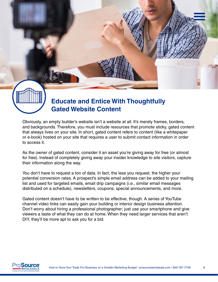<span id="page-7-0"></span>

# **Educate and Entice With Thoughtfully Gated Website Content**

Obviously, an empty builder's website isn't a website at all. It's merely frames, borders, and backgrounds. Therefore, you must include resources that promote sticky, gated content that always lives on your site. In short, gated content refers to content (like a whitepaper or e-book) hosted on your site that requires a user to submit contact information in order to access it.

As the owner of gated content, consider it an asset you're giving away for free (or almost for free). Instead of completely giving away your insider knowledge to site visitors, capture their information along the way.

You don't have to request a ton of data. In fact, the less you request, the higher your potential conversion rates. A prospect's simple email address can be added to your mailing list and used for targeted emails, email drip campaigns (i.e., similar email messages distributed on a schedule), newsletters, coupons, special announcements, and more.

Gated content doesn't have to be written to be effective, though. A series of YouTube channel video links can easily gain your building or interior design business attention. Don't worry about hiring a professional photographer; just use your smartphone and give viewers a taste of what they can do at home. When they need larger services that aren't DIY, they'll be more apt to ask you for a bid.

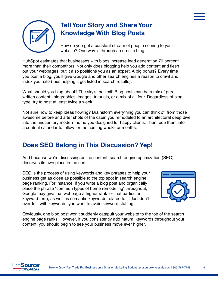<span id="page-8-0"></span>

# **Tell Your Story and Share Your Knowledge With Blog Posts**

How do you get a constant stream of people coming to your website? One way is through an on-site blog.

HubSpot estimates that businesses with blogs increase lead generation 70 percent more than their competitors. Not only does blogging help you add content and flesh out your webpages, but it also positions you as an expert. A big bonus? Every time you post a blog, you'll give Google and other search engines a reason to crawl and index your site (thus helping it get listed in search results).

What should you blog about? The sky's the limit! Blog posts can be a mix of pure written content, infographics, images, tutorials, or a mix of all four. Regardless of blog type, try to post at least twice a week.

Not sure how to keep ideas flowing? Brainstorm everything you can think of, from those awesome before and after shots of the cabin you remodeled to an architectural deep dive into the midcentury modern home you designed for happy clients. Then, pop them into a content calendar to follow for the coming weeks or months.

# **Does SEO Belong in This Discussion? Yep!**

And because we're discussing online content, search engine optimization (SEO) deserves its own place in the sun.

SEO is the process of using keywords and key phrases to help your business get as close as possible to the top spot in search engine page ranking. For instance, if you write a blog post and organically place the phrase "common types of home remodeling" throughout, Google may give that webpage a higher rank for that particular keyword term, as well as semantic keywords related to it. Just don't overdo it with keywords; you want to avoid keyword stuffing.



Obviously, one blog post won't suddenly catapult your website to the top of the search engine page ranks. However, if you consistently add natural keywords throughout your content, you should begin to see your business move ever higher.

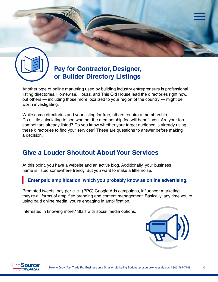<span id="page-9-0"></span>

# **Pay for Contractor, Designer, or Builder Directory Listings**

Another type of online marketing used by building industry entrepreneurs is professional listing directories. Homewise, Houzz, and This Old House lead the directories right now, but others — including those more localized to your region of the country — might be worth investigating.

While some directories add your listing for free, others require a membership. Do a little calculating to see whether the membership fee will benefit you. Are your top competitors already listed? Do you know whether your target audience is already using these directories to find your services? These are questions to answer before making a decision.

# **Give a Louder Shoutout About Your Services**

At this point, you have a website and an active blog. Additionally, your business name is listed somewhere trendy. But you want to make a little noise.

#### **Enter paid amplification, which you probably know as online advertising.**

Promoted tweets, pay-per-click (PPC) Google Ads campaigns, influencer marketing they're all forms of amplified branding and content management. Basically, any time you're using paid online media, you're engaging in amplification.

Interested in knowing more? Start with social media options.



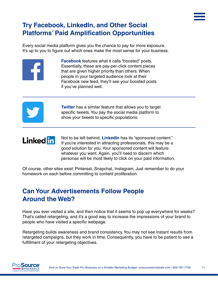# <span id="page-10-0"></span>**Try Facebook, LinkedIn, and Other Social Platforms' Paid Amplification Opportunities**

Every social media platform gives you the chance to pay for more exposure. It's up to you to figure out which ones make the most sense for your business.



**Facebook** features what it calls "boosted" posts. Essentially, these are pay-per-click content pieces that are given higher priority than others. When people in your targeted audience look at their Facebook new feed, they'll see your boosted posts if you've planned well.



**Twitter** has a similar feature that allows you to target specific tweets. You pay the social media platform to show your tweets to specific populations.

# **Linked** in

Not to be left behind, **LinkedIn** has its "sponsored content." If you're interested in attracting professionals, this may be a good solution for you. Your sponsored content will feature whatever you want. Again, you'll need to discern which personas will be most likely to click on your paid information.

Of course, other sites exist: Pinterest, Snapchat, Instagram. Just remember to do your homework on each before committing to content proliferation.

# **Can Your Advertisements Follow People Around the Web?**

Have you ever visited a site, and then notice that it seems to pop up everywhere for weeks? That's called retargeting, and it's a good way to increase the impressions of your brand to people who have visited a specific webpage.

Retargeting builds awareness and brand consistency. You may not see instant results from retargeted campaigns, but they work in time. Consequently, you have to be patient to see a fulfillment of your retargeting objectives.

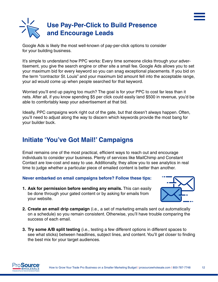<span id="page-11-0"></span>

Google Ads is likely the most well-known of pay-per-click options to consider for your building business.

It's simple to understand how PPC works: Every time someone clicks through your advertisement, you give the search engine or other site a small fee. Google Ads allows you to set your maximum bid for every keyword so you can snag exceptional placements. If you bid on the term "contractor St. Louis" and your maximum bid amount fell into the acceptable range, your ad would come up when people searched for that keyword.

Worried you'll end up paying too much? The goal is for your PPC to cost far less than it nets. After all, if you know spending \$5 per click could easily land \$500 in revenue, you'd be able to comfortably keep your advertisement at that bid.

Ideally, PPC campaigns work right out of the gate, but that doesn't always happen. Often, you'll need to adjust along the way to discern which keywords provide the most bang for your builder buck.

#### **Initiate 'You've Got Mail!' Campaigns**

Email remains one of the most practical, efficient ways to reach out and encourage individuals to consider your business. Plenty of services like MailChimp and Constant Contact are low-cost and easy to use. Additionally, they allow you to see analytics in real time to judge whether a particular piece of emailed content is better than another.

#### **Never embarked on email campaigns before? Follow these tips:**

**1. Ask for permission before sending any emails.** This can easily be done through your gated content or by asking for emails from your website.



- **2. Create an email drip campaign** (i.e., a set of marketing emails sent out automatically on a schedule) so you remain consistent. Otherwise, you'll have trouble comparing the success of each email.
- **3. Try some A/B split testing** (i.e., testing a few different options in different spaces to see what sticks) between headlines, subject lines, and content. You'll get closer to finding the best mix for your target audiences.

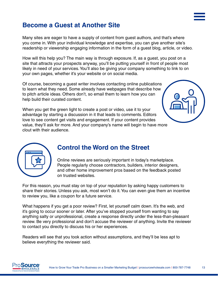# <span id="page-12-0"></span>**Become a Guest at Another Site**

Many sites are eager to have a supply of content from guest authors, and that's where you come in. With your individual knowledge and expertise, you can give another site's readership or viewership engaging information in the form of a guest blog, article, or video.

How will this help you? The main way is through exposure. If, as a guest, you post on a site that attracts your prospects anyway, you'll be putting yourself in front of people most likely in need of your services. You'll also be giving your company something to link to on your own pages, whether it's your website or on social media.

Of course, becoming a guest writer involves contacting online publications to learn what they need. Some already have webpages that describe how to pitch article ideas. Others don't, so email them to learn how you can help build their curated content.

When you get the green light to create a post or video, use it to your advantage by starting a discussion in it that leads to comments. Editors love to see content get visits and engagement. If your content provides value, they'll ask for more. And your company's name will begin to have more clout with their audience.





#### **Control the Word on the Street**

Online reviews are seriously important in today's marketplace. People regularly choose contractors, builders, interior designers, and other home improvement pros based on the feedback posted on trusted websites.

For this reason, you must stay on top of your reputation by asking happy customers to share their stories. Unless you ask, most won't do it. You can even give them an incentive to review you, like a coupon for a future service.

What happens if you get a poor review? First, let yourself calm down. It's the web, and it's going to occur sooner or later. After you've stopped yourself from wanting to say anything salty or unprofessional, create a response directly under the less-than-pleasant review. Be very professional and don't accuse the reviewer of anything. Invite the reviewer to contact you directly to discuss his or her experiences.

Readers will see that you took action without assumptions, and they'll be less apt to believe everything the reviewer said.

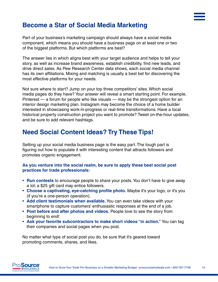# <span id="page-13-0"></span>**Become a Star of Social Media Marketing**

Part of your business's marketing campaign should always have a social media component, which means you should have a business page on at least one or two of the biggest platforms. But which platforms are best?

The answer lies in which aligns best with your target audience and helps to tell your story, as well as increase brand awareness, establish credibility, find new leads, and drive direct sales. As Pew Research Center data shows, each social media channel has its own affiliations. Mixing and matching is usually a best bet for discovering the most effective platforms for your needs.

Not sure where to start? Jump on your top three competitors' sites. Which social media pages do they have? Your answer will reveal a smart starting point. For example, Pinterest — a forum for people who like visuals — may be the strongest option for an interior design marketing plan. Instagram may become the choice of a home builder interested in showcasing work-in-progress or real-time transformations. Have a local historical property construction project you want to promote? Tweet on-the-hour updates, and be sure to add relevant hashtags.

# **Need Social Content Ideas? Try These Tips!**

Setting up your social media business page is the easy part. The tough part is figuring out how to populate it with interesting content that attracts followers and promotes organic engagement.

#### **As you venture into the social realm, be sure to apply these best social post practices for trade professionals:**

- **Run contests** to encourage people to share your posts. You don't have to give away a lot; a \$25 gift card may entice followers.
- **Choose a captivating, eye-catching profile photo.** Maybe it's your logo, or it's you (if you're a one-person operation).
- **Add client testimonials when available.** You can even take videos with your smartphone to capture customers' enthusiastic responses at the end of a job.
- **• Post before and after photos and videos.** People love to see the story from beginning to end!
- **Ask your favorite subcontractors to make short videos "in action."** You can tag their companies and social pages when you post.

No matter what type of social post you do, be sure that it's geared toward promoting comments, shares, and likes.

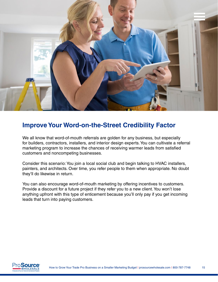<span id="page-14-0"></span>

#### **Improve Your Word-on-the-Street Credibility Factor**

We all know that word-of-mouth referrals are golden for any business, but especially for builders, contractors, installers, and interior design experts. You can cultivate a referral marketing program to increase the chances of receiving warmer leads from satisfied customers and noncompeting businesses.

Consider this scenario: You join a local social club and begin talking to HVAC installers, painters, and architects. Over time, you refer people to them when appropriate. No doubt they'll do likewise in return.

You can also encourage word-of-mouth marketing by offering incentives to customers. Provide a discount for a future project if they refer you to a new client. You won't lose anything upfront with this type of enticement because you'll only pay if you get incoming leads that turn into paying customers.

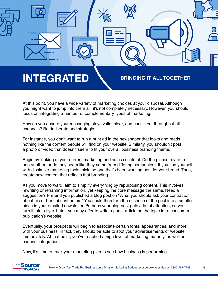<span id="page-15-0"></span>

At this point, you have a wide variety of marketing choices at your disposal. Although you might want to jump into them all, it's not completely necessary. However, you should focus on integrating a number of complementary types of marketing.

How do you ensure your messaging stays valid, clear, and consistent throughout all channels? Be deliberate and strategic.

For instance, you don't want to run a print ad in the newspaper that looks and reads nothing like the content people will find on your website. Similarly, you shouldn't post a photo or video that doesn't seem to fit your overall business branding theme.

Begin by looking at your current marketing and sales collateral. Do the pieces relate to one another, or do they seem like they came from differing companies? If you find yourself with dissimilar marketing tools, pick the one that's been working best for your brand. Then, create new content that reflects that branding.

As you move forward, aim to simplify everything by repurposing content. This involves rewriting or reframing information, yet keeping the core message the same. Need a suggestion? Pretend you published a blog post on "What you should ask your contractor about his or her subcontractors." You could then turn the essence of the post into a smaller piece in your emailed newsletter. Perhaps your blog post gets a lot of attention, so you turn it into a flyer. Later, you may offer to write a guest article on the topic for a consumer publication's website.

Eventually, your prospects will begin to associate certain fonts, appearances, and more with your business. In fact, they should be able to spot your advertisements or website immediately. At that point, you've reached a high level of marketing maturity, as well as channel integration.

Now, it's time to track your marketing plan to see how business is performing.

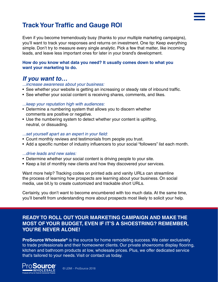# <span id="page-16-0"></span>**Track Your Traffic and Gauge ROI**

Even if you become tremendously busy (thanks to your multiple marketing campaigns), you'll want to track your responses and returns on investment. One tip: Keep everything simple. Don't try to measure every single analytic. Pick a few that matter, like incoming leads, and leave less important ones for later in your brand's development.

#### **How do you know what data you need? It usually comes down to what you want your marketing to do.**

#### *If you want to…*

#### *...increase awareness about your business:*

- See whether your website is getting an increasing or steady rate of inbound traffic.
- See whether your social content is receiving shares, comments, and likes.

#### *...keep your reputation high with audiences:*

- Determine a numbering system that allows you to discern whether comments are positive or negative.
- Use the numbering system to detect whether your content is uplifting, neutral, or dissuading.

#### *...set yourself apart as an expert in your field:*

- Count monthly reviews and testimonials from people you trust.
- Add a specific number of industry influencers to your social "followers" list each month.

#### *...drive leads and new sales:*

- Determine whether your social content is driving people to your site.
- Keep a list of monthly new clients and how they discovered your services.

Want more help? Tracking codes on printed ads and vanity URLs can streamline the process of learning how prospects are learning about your business. On social media, use bit.ly to create customized and trackable short URLs.

Certainly, you don't want to become encumbered with too much data. At the same time, you'll benefit from understanding more about prospects most likely to solicit your help.

#### **READY TO ROLL OUT YOUR MARKETING CAMPAIGN AND MAKE THE MOST OF YOUR BUDGET, EVEN IF IT'S A SHOESTRING? REMEMBER, YOU'RE NEVER ALONE!**

**ProSource Wholesale®** is the source for home remodeling success. We cater exclusively to trade professionals and their homeowner clients. Our private showrooms display flooring, kitchen and bathroom products at low, wholesale prices. Plus, we offer dedicated service that's tailored to your needs. Visit or contact us today.